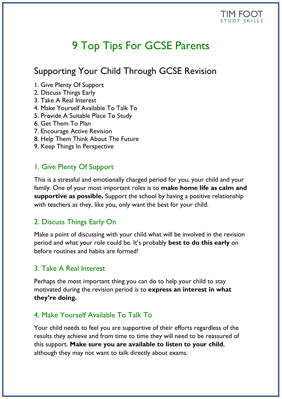

# 9 Top Tips For GCSE Parents

# Supporting Your Child Through GCSE Revision

- 1. Give Plenty Of Support
- 2. Discuss Things Early
- 3. Take A Real Interest
- 4. Make Yourself Available To Talk To
- 5. Provide A Suitable Place To Study
- 6. Get Them To Plan
- 7. Encourage Active Revision
- 8. Help Them Think About The Future
- 9. Keep Things In Perspective

#### 1. Give Plenty Of Support

This is a stressful and emotionally charged period for you, your child and your family. One of your most important roles is to **make home life as calm and supportive as possible.** Support the school by having a positive relationship with teachers as they, like you, only want the best for your child.

#### 2. Discuss Things Early On

Make a point of discussing with your child what will be involved in the revision period and what your role could be. It's probably **best to do this early** on before routines and habits are formed!

## 3. Take A Real Interest

Perhaps the most important thing you can do to help your child to stay motivated during the revision period is to **express an interest in what they're doing.**

## 4. Make Yourself Available To Talk To

Your child needs to feel you are supportive of their efforts regardless of the results they achieve and from time to time they will need to be reassured of this support. **Make sure you are available to listen to your child**, although they may not want to talk directly about exams.